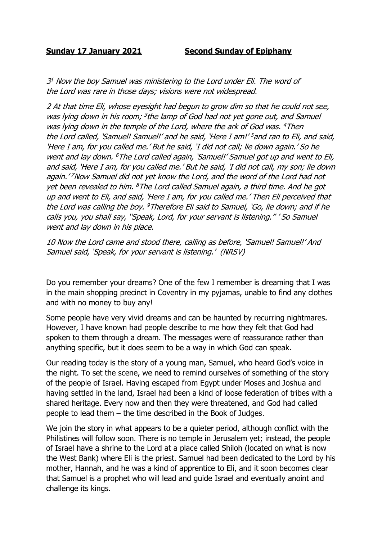## **Sunday 17 January 2021 Second Sunday of Epiphany**

3 <sup>1</sup> Now the boy Samuel was ministering to the Lord under Eli. The word of the Lord was rare in those days; visions were not widespread.

2 At that time Eli, whose eyesight had begun to grow dim so that he could not see, was lying down in his room; <sup>3</sup>the lamp of God had not yet gone out, and Samuel was lying down in the temple of the Lord, where the ark of God was. <sup>4</sup>Then the Lord called, 'Samuel! Samuel!' and he said, 'Here I am!' <sup>5</sup> and ran to Eli, and said, 'Here I am, for you called me.' But he said, 'I did not call; lie down again.' So he went and lay down. <sup>6</sup>The Lord called again, 'Samuel!' Samuel got up and went to Eli, and said, 'Here I am, for you called me.' But he said, 'I did not call, my son; lie down again.' <sup>7</sup>Now Samuel did not yet know the Lord, and the word of the Lord had not yet been revealed to him. <sup>8</sup>The Lord called Samuel again, a third time. And he got up and went to Eli, and said, 'Here I am, for you called me.' Then Eli perceived that the Lord was calling the boy. <sup>9</sup>Therefore Eli said to Samuel, 'Go, lie down; and if he calls you, you shall say, "Speak, Lord, for your servant is listening." ' So Samuel went and lay down in his place.

10 Now the Lord came and stood there, calling as before, 'Samuel! Samuel!' And Samuel said, 'Speak, for your servant is listening.' (NRSV)

Do you remember your dreams? One of the few I remember is dreaming that I was in the main shopping precinct in Coventry in my pyjamas, unable to find any clothes and with no money to buy any!

Some people have very vivid dreams and can be haunted by recurring nightmares. However, I have known had people describe to me how they felt that God had spoken to them through a dream. The messages were of reassurance rather than anything specific, but it does seem to be a way in which God can speak.

Our reading today is the story of a young man, Samuel, who heard God's voice in the night. To set the scene, we need to remind ourselves of something of the story of the people of Israel. Having escaped from Egypt under Moses and Joshua and having settled in the land, Israel had been a kind of loose federation of tribes with a shared heritage. Every now and then they were threatened, and God had called people to lead them – the time described in the Book of Judges.

We join the story in what appears to be a quieter period, although conflict with the Philistines will follow soon. There is no temple in Jerusalem yet; instead, the people of Israel have a shrine to the Lord at a place called Shiloh (located on what is now the West Bank) where Eli is the priest. Samuel had been dedicated to the Lord by his mother, Hannah, and he was a kind of apprentice to Eli, and it soon becomes clear that Samuel is a prophet who will lead and guide Israel and eventually anoint and challenge its kings.